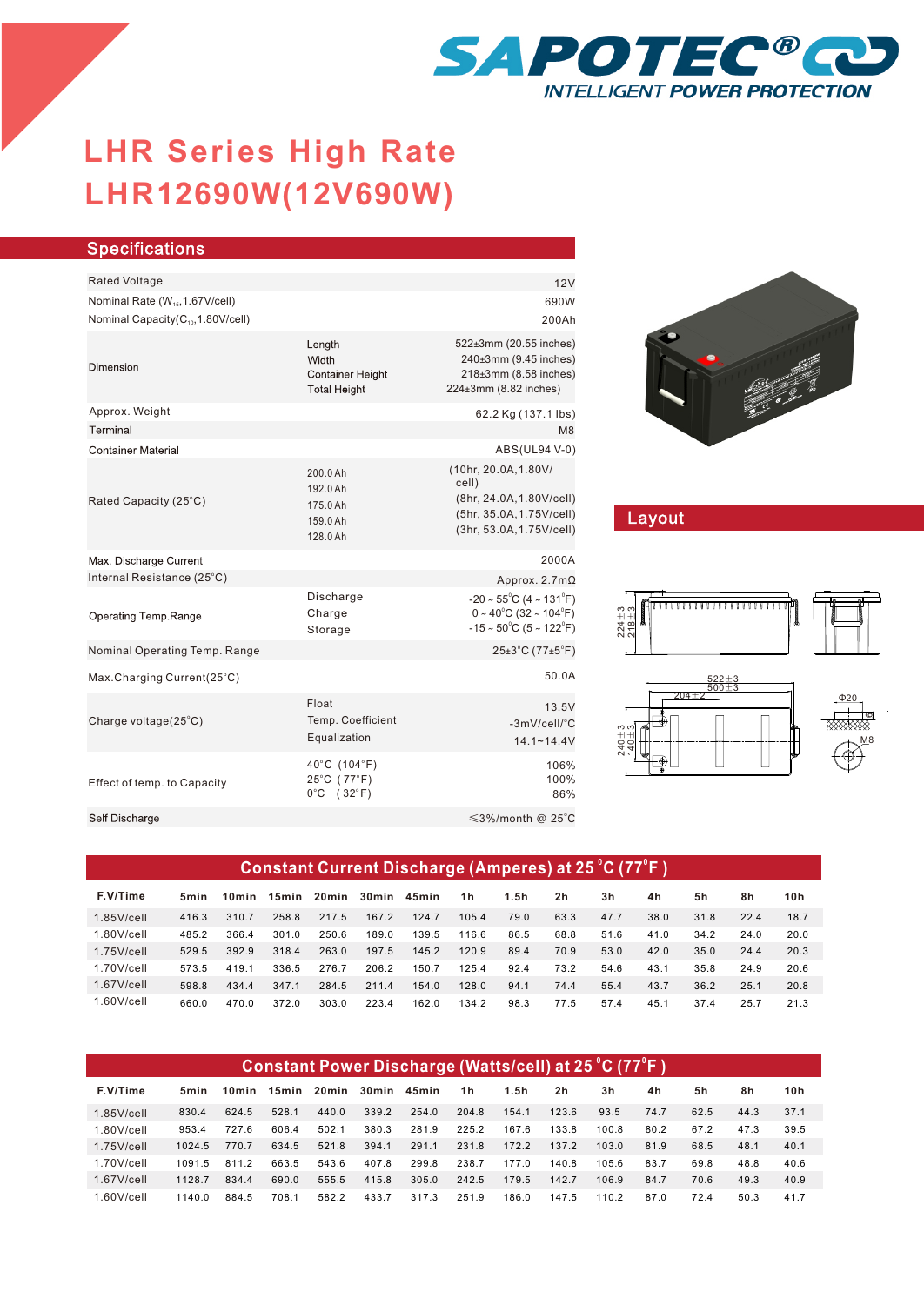

## **LHR12690W(12V690W) LHR Series-High Rate LHR Series High Rate**

| <b>Specifications</b>                                                                        |                                                                   |                                                                                                                                                   |
|----------------------------------------------------------------------------------------------|-------------------------------------------------------------------|---------------------------------------------------------------------------------------------------------------------------------------------------|
| <b>Rated Voltage</b>                                                                         |                                                                   |                                                                                                                                                   |
|                                                                                              |                                                                   | 12V<br>690W                                                                                                                                       |
| Nominal Rate (W <sub>15</sub> , 1.67V/cell)<br>Nominal Capacity(C <sub>10</sub> ,1.80V/cell) |                                                                   | 200Ah                                                                                                                                             |
|                                                                                              |                                                                   |                                                                                                                                                   |
| Dimension                                                                                    | Length<br>Width<br><b>Container Height</b><br><b>Total Height</b> | 522±3mm (20.55 inches)<br>240±3mm (9.45 inches)<br>218±3mm (8.58 inches)<br>224±3mm (8.82 inches)                                                 |
| Approx. Weight                                                                               |                                                                   | 62.2 Kg (137.1 lbs)                                                                                                                               |
| Terminal                                                                                     |                                                                   | M8                                                                                                                                                |
| <b>Container Material</b>                                                                    |                                                                   | ABS(UL94 V-0)                                                                                                                                     |
| Rated Capacity (25°C)                                                                        | 200.0 Ah<br>192.0 Ah<br>175.0 Ah<br>159.0 Ah<br>128.0 Ah          | (10hr, 20.0A, 1.80V/<br>cell)<br>(8hr, 24.0A, 1.80V/cell)<br>(5hr, 35.0A, 1.75V/cell)<br>(3hr, 53.0A, 1.75V/cell)                                 |
| Max. Discharge Current                                                                       |                                                                   | 2000A                                                                                                                                             |
| Internal Resistance (25°C)                                                                   |                                                                   | Approx. $2.7m\Omega$                                                                                                                              |
| Operating Temp.Range                                                                         | Discharge<br>Charge<br>Storage                                    | $-20 \sim 55^{\circ}$ C (4 ~ 131 $^{\circ}$ F)<br>$0 \sim 40^{\circ}$ C (32 ~ 104 $^{\circ}$ F)<br>$-15 \sim 50^{\circ}$ C (5 ~ 122 $^{\circ}$ F) |
| Nominal Operating Temp. Range                                                                |                                                                   | $25\pm3$ °C (77 $\pm5$ °F)                                                                                                                        |
| Max.Charging Current(25°C)                                                                   |                                                                   | 50.0A                                                                                                                                             |
| Charge voltage(25°C)                                                                         | Float<br>Temp. Coefficient<br>Equalization                        | 13.5V<br>-3mV/cell/°C<br>$14.1 - 14.4V$                                                                                                           |
| Effect of temp. to Capacity                                                                  | 40°C (104°F)<br>25°C (77°F)<br>$0^{\circ}$ C (32 $^{\circ}$ F)    | 106%<br>100%<br>86%                                                                                                                               |
| Self Discharge                                                                               |                                                                   | $\leq$ 3%/month @ 25°C                                                                                                                            |
|                                                                                              |                                                                   |                                                                                                                                                   |



## Layout



| Constant Current Discharge (Amperes) at 25 °C (77°F) |       |       |       |       |             |       |       |      |                |      |      |      |      |      |
|------------------------------------------------------|-------|-------|-------|-------|-------------|-------|-------|------|----------------|------|------|------|------|------|
| F.V/Time                                             | 5min  | 10min | 15min |       | 20min 30min | 45min | 1h    | 1.5h | 2 <sub>h</sub> | 3h   | 4h   | 5h   | 8h   | 10h  |
| $1.85$ V/cell                                        | 416.3 | 310.7 | 258.8 | 217.5 | 1672        | 124.7 | 105.4 | 79.0 | 63.3           | 47.7 | 38.0 | 31.8 | 22.4 | 18.7 |
| $1.80$ V/cell                                        | 485.2 | 366.4 | 301.0 | 250.6 | 189.0       | 139.5 | 116.6 | 86.5 | 68.8           | 51.6 | 41.0 | 34.2 | 24.0 | 20.0 |
| $1.75$ V/cell                                        | 529.5 | 3929  | 318.4 | 263.0 | 197.5       | 145.2 | 120.9 | 89.4 | 70.9           | 53.0 | 42.0 | 35.0 | 24.4 | 20.3 |
| $1.70$ V/cell                                        | 573.5 | 419.1 | 336.5 | 276.7 | 206.2       | 150.7 | 125.4 | 92.4 | 73.2           | 54.6 | 43.1 | 35.8 | 24.9 | 20.6 |
| $1.67$ V/cell                                        | 598.8 | 434.4 | 347.1 | 284.5 | 211.4       | 154.0 | 128.0 | 94.1 | 74.4           | 55.4 | 43.7 | 36.2 | 25.1 | 20.8 |
| $1.60$ V/cell                                        | 660.0 | 470.0 | 372.0 | 303.0 | 223.4       | 162.0 | 134.2 | 98.3 | 77.5           | 57.4 | 45.1 | 37.4 | 25.7 | 21.3 |

| Constant Power Discharge (Watts/cell) at 25 °C (77°F) |        |       |       |        |       |       |       |       |                |       |      |      |      |      |
|-------------------------------------------------------|--------|-------|-------|--------|-------|-------|-------|-------|----------------|-------|------|------|------|------|
| F.V/Time                                              | 5min   | 10min | 15min | 20 min | 30min | 45min | 1 h   | 1.5h  | 2 <sub>h</sub> | 3h    | 4h   | 5h   | 8h   | 10h  |
| $1.85$ V/cell                                         | 830.4  | 624.5 | 528.1 | 440.0  | 339.2 | 254.0 | 204.8 | 154.1 | 123.6          | 93.5  | 74.7 | 62.5 | 44.3 | 37.1 |
| $1.80$ V/cell                                         | 953.4  | 727.6 | 606.4 | 502.1  | 380.3 | 281.9 | 225.2 | 167.6 | 133.8          | 100.8 | 80.2 | 67.2 | 47.3 | 39.5 |
| $1.75$ V/cell                                         | 1024.5 | 770.7 | 634.5 | 521.8  | 394.1 | 291.1 | 231.8 | 172.2 | 137.2          | 103.0 | 81.9 | 68.5 | 48.1 | 40.1 |
| $1.70$ V/cell                                         | 1091.5 | 8112  | 663.5 | 543.6  | 407.8 | 299.8 | 238.7 | 177.0 | 140.8          | 105.6 | 83.7 | 69.8 | 48.8 | 40.6 |
| $1.67$ V/cell                                         | 11287  | 8344  | 690.0 | 555.5  | 415.8 | 305.0 | 242.5 | 179.5 | 142.7          | 106.9 | 84.7 | 70.6 | 49.3 | 40.9 |
| $1.60$ V/cell                                         | 11400  | 884.5 | 708.1 | 582.2  | 433.7 | 317.3 | 251.9 | 186.0 | 147.5          | 110.2 | 87.0 | 72.4 | 50.3 | 41.7 |